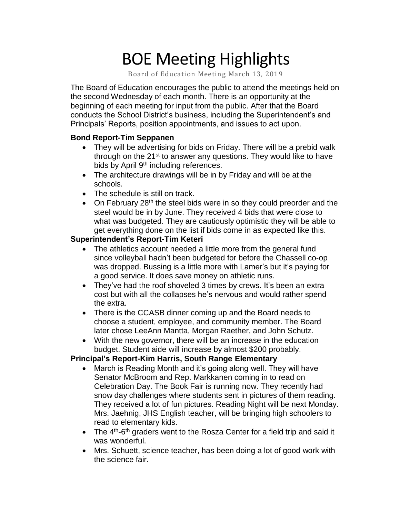# BOE Meeting Highlights

Board of Education Meeting March 13, 2019

 The Board of Education encourages the public to attend the meetings held on the second Wednesday of each month. There is an opportunity at the beginning of each meeting for input from the public. After that the Board conducts the School District's business, including the Superintendent's and Principals' Reports, position appointments, and issues to act upon.

### **Bond Report-Tim Seppanen**

- They will be advertising for bids on Friday. There will be a prebid walk through on the 21<sup>st</sup> to answer any questions. They would like to have bids by April 9<sup>th</sup> including references.
- The architecture drawings will be in by Friday and will be at the schools.
- The schedule is still on track.
- On February 28<sup>th</sup> the steel bids were in so they could preorder and the steel would be in by June. They received 4 bids that were close to what was budgeted. They are cautiously optimistic they will be able to get everything done on the list if bids come in as expected like this.

## **Superintendent's Report-Tim Keteri**

- The athletics account needed a little more from the general fund since volleyball hadn't been budgeted for before the Chassell co-op was dropped. Bussing is a little more with Lamer's but it's paying for a good service. It does save money on athletic runs.
- They've had the roof shoveled 3 times by crews. It's been an extra cost but with all the collapses he's nervous and would rather spend the extra.
- There is the CCASB dinner coming up and the Board needs to choose a student, employee, and community member. The Board later chose LeeAnn Mantta, Morgan Raether, and John Schutz.
- With the new governor, there will be an increase in the education budget. Student aide will increase by almost \$200 probably.

## **Principal's Report-Kim Harris, South Range Elementary**

- • March is Reading Month and it's going along well. They will have Senator McBroom and Rep. Markkanen coming in to read on Celebration Day. The Book Fair is running now. They recently had snow day challenges where students sent in pictures of them reading. They received a lot of fun pictures. Reading Night will be next Monday. Mrs. Jaehnig, JHS English teacher, will be bringing high schoolers to read to elementary kids.
- The  $4<sup>th</sup>$ -6<sup>th</sup> graders went to the Rosza Center for a field trip and said it was wonderful.
- • Mrs. Schuett, science teacher, has been doing a lot of good work with the science fair.